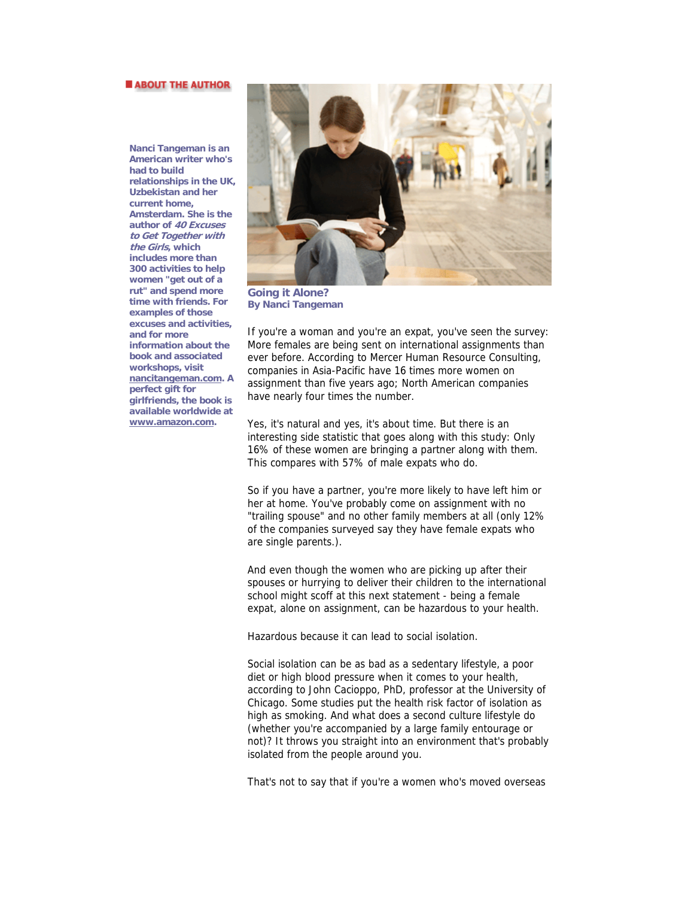## **ABOUT THE AUTHOR**

**Nanci Tangeman is an American writer who's had to build relationships in the UK, Uzbekistan and her current home, Amsterdam. She is the author of 40 Excuses to Get Together with the Girls, which includes more than 300 activities to help women "get out of a rut" and spend more time with friends. For examples of those excuses and activities, and for more information about the book and associated workshops, visit nancitangeman.com. A perfect gift for girlfriends, the book is available worldwide at www.amazon.com.** 



**Going it Alone? By Nanci Tangeman** 

If you're a woman and you're an expat, you've seen the survey: More females are being sent on international assignments than ever before. According to Mercer Human Resource Consulting, companies in Asia-Pacific have 16 times more women on assignment than five years ago; North American companies have nearly four times the number.

Yes, it's natural and yes, it's about time. But there is an interesting side statistic that goes along with this study: Only 16% of these women are bringing a partner along with them. This compares with 57% of male expats who do.

So if you have a partner, you're more likely to have left him or her at home. You've probably come on assignment with no "trailing spouse" and no other family members at all (only 12% of the companies surveyed say they have female expats who are single parents.).

And even though the women who are picking up after their spouses or hurrying to deliver their children to the international school might scoff at this next statement - being a female expat, alone on assignment, can be hazardous to your health.

Hazardous because it can lead to social isolation.

Social isolation can be as bad as a sedentary lifestyle, a poor diet or high blood pressure when it comes to your health, according to John Cacioppo, PhD, professor at the University of Chicago. Some studies put the health risk factor of isolation as high as smoking. And what does a second culture lifestyle do (whether you're accompanied by a large family entourage or not)? It throws you straight into an environment that's probably isolated from the people around you.

That's not to say that if you're a women who's moved overseas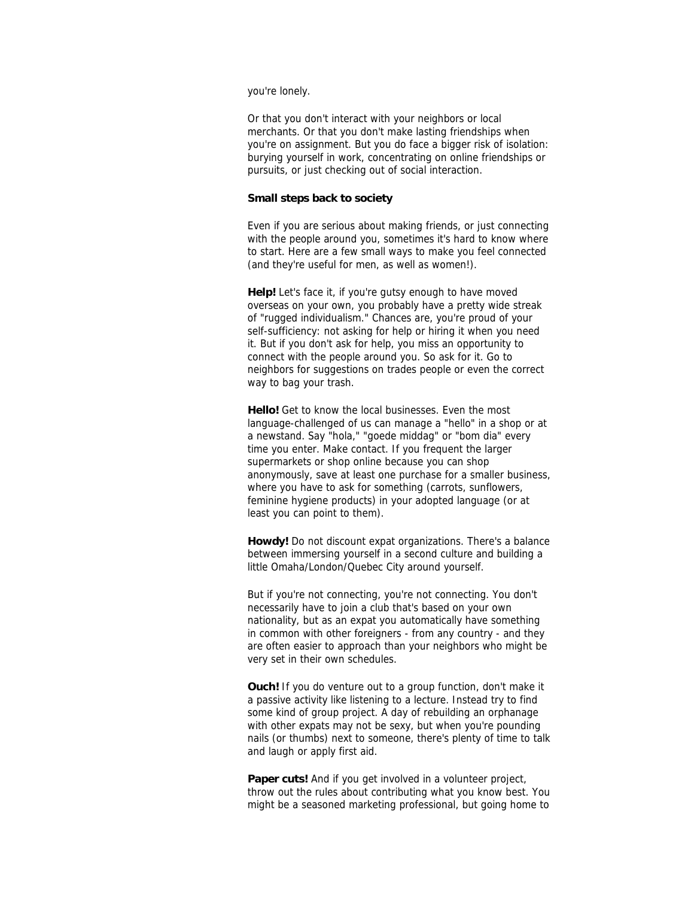## you're lonely.

Or that you don't interact with your neighbors or local merchants. Or that you don't make lasting friendships when you're on assignment. But you do face a bigger risk of isolation: burying yourself in work, concentrating on online friendships or pursuits, or just checking out of social interaction.

## **Small steps back to society**

Even if you are serious about making friends, or just connecting with the people around you, sometimes it's hard to know where to start. Here are a few small ways to make you feel connected (and they're useful for men, as well as women!).

**Help!** Let's face it, if you're gutsy enough to have moved overseas on your own, you probably have a pretty wide streak of "rugged individualism." Chances are, you're proud of your self-sufficiency: not asking for help or hiring it when you need it. But if you don't ask for help, you miss an opportunity to connect with the people around you. So ask for it. Go to neighbors for suggestions on trades people or even the correct way to bag your trash.

**Hello!** Get to know the local businesses. Even the most language-challenged of us can manage a "hello" in a shop or at a newstand. Say "hola," "goede middag" or "bom dia" every time you enter. Make contact. If you frequent the larger supermarkets or shop online because you can shop anonymously, save at least one purchase for a smaller business, where you have to ask for something (carrots, sunflowers, feminine hygiene products) in your adopted language (or at least you can point to them).

**Howdy!** Do not discount expat organizations. There's a balance between immersing yourself in a second culture and building a little Omaha/London/Quebec City around yourself.

But if you're not connecting, you're not connecting. You don't necessarily have to join a club that's based on your own nationality, but as an expat you automatically have something in common with other foreigners - from any country - and they are often easier to approach than your neighbors who might be very set in their own schedules.

**Ouch!** If you do venture out to a group function, don't make it a passive activity like listening to a lecture. Instead try to find some kind of group project. A day of rebuilding an orphanage with other expats may not be sexy, but when you're pounding nails (or thumbs) next to someone, there's plenty of time to talk and laugh or apply first aid.

Paper cuts! And if you get involved in a volunteer project, throw out the rules about contributing what you know best. You might be a seasoned marketing professional, but going home to